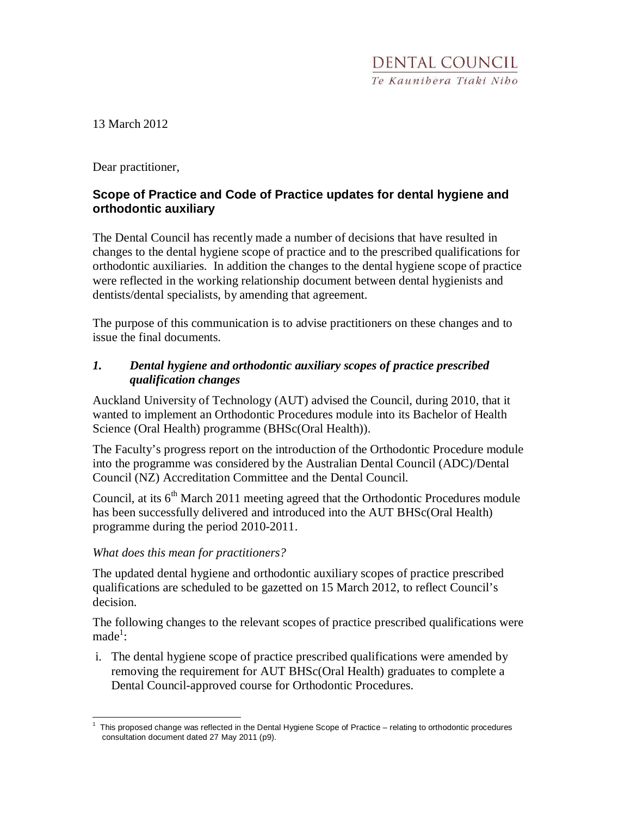13 March 2012

Dear practitioner,

# **Scope of Practice and Code of Practice updates for dental hygiene and orthodontic auxiliary**

The Dental Council has recently made a number of decisions that have resulted in changes to the dental hygiene scope of practice and to the prescribed qualifications for orthodontic auxiliaries. In addition the changes to the dental hygiene scope of practice were reflected in the working relationship document between dental hygienists and dentists/dental specialists, by amending that agreement.

The purpose of this communication is to advise practitioners on these changes and to issue the final documents.

## *1. Dental hygiene and orthodontic auxiliary scopes of practice prescribed qualification changes*

Auckland University of Technology (AUT) advised the Council, during 2010, that it wanted to implement an Orthodontic Procedures module into its Bachelor of Health Science (Oral Health) programme (BHSc(Oral Health)).

The Faculty's progress report on the introduction of the Orthodontic Procedure module into the programme was considered by the Australian Dental Council (ADC)/Dental Council (NZ) Accreditation Committee and the Dental Council.

Council, at its 6<sup>th</sup> March 2011 meeting agreed that the Orthodontic Procedures module has been successfully delivered and introduced into the AUT BHSc(Oral Health) programme during the period 2010-2011.

#### *What does this mean for practitioners?*

The updated dental hygiene and orthodontic auxiliary scopes of practice prescribed qualifications are scheduled to be gazetted on 15 March 2012, to reflect Council's decision.

The following changes to the relevant scopes of practice prescribed qualifications were  $made<sup>1</sup>$ :

i. The dental hygiene scope of practice prescribed qualifications were amended by removing the requirement for AUT BHSc(Oral Health) graduates to complete a Dental Council-approved course for Orthodontic Procedures.

<sup>&</sup>lt;u>.</u> 1 This proposed change was reflected in the Dental Hygiene Scope of Practice – relating to orthodontic procedures consultation document dated 27 May 2011 (p9).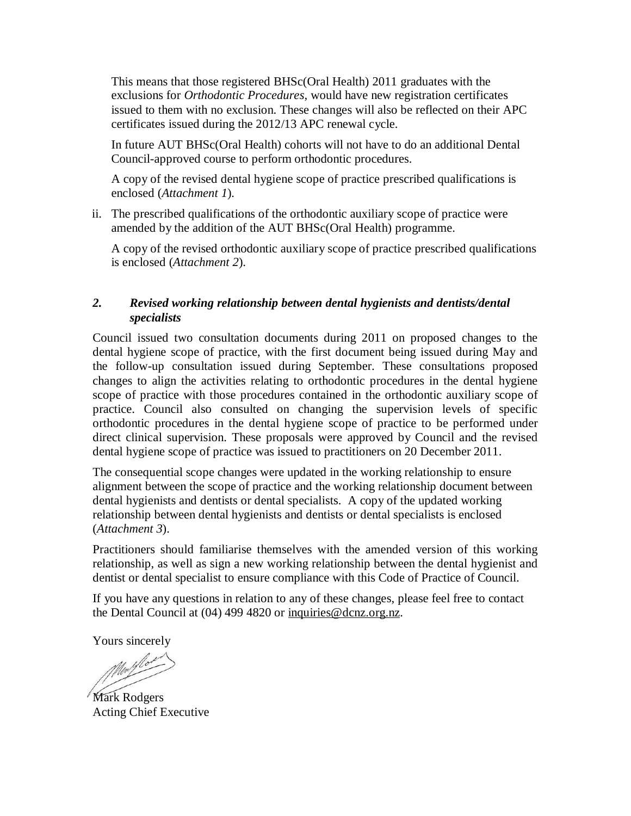This means that those registered BHSc(Oral Health) 2011 graduates with the exclusions for *Orthodontic Procedures,* would have new registration certificates issued to them with no exclusion. These changes will also be reflected on their APC certificates issued during the 2012/13 APC renewal cycle.

In future AUT BHSc(Oral Health) cohorts will not have to do an additional Dental Council-approved course to perform orthodontic procedures.

A copy of the revised dental hygiene scope of practice prescribed qualifications is enclosed (*Attachment 1*).

ii. The prescribed qualifications of the orthodontic auxiliary scope of practice were amended by the addition of the AUT BHSc(Oral Health) programme.

A copy of the revised orthodontic auxiliary scope of practice prescribed qualifications is enclosed (*Attachment 2*).

#### *2. Revised working relationship between dental hygienists and dentists/dental specialists*

Council issued two consultation documents during 2011 on proposed changes to the dental hygiene scope of practice, with the first document being issued during May and the follow-up consultation issued during September. These consultations proposed changes to align the activities relating to orthodontic procedures in the dental hygiene scope of practice with those procedures contained in the orthodontic auxiliary scope of practice. Council also consulted on changing the supervision levels of specific orthodontic procedures in the dental hygiene scope of practice to be performed under direct clinical supervision. These proposals were approved by Council and the revised dental hygiene scope of practice was issued to practitioners on 20 December 2011.

The consequential scope changes were updated in the working relationship to ensure alignment between the scope of practice and the working relationship document between dental hygienists and dentists or dental specialists. A copy of the updated working relationship between dental hygienists and dentists or dental specialists is enclosed (*Attachment 3*).

Practitioners should familiarise themselves with the amended version of this working relationship, as well as sign a new working relationship between the dental hygienist and dentist or dental specialist to ensure compliance with this Code of Practice of Council.

If you have any questions in relation to any of these changes, please feel free to contact the Dental Council at (04) 499 4820 or inquiries@dcnz.org.nz.

Yours sincerely

Modelo

Mark Rodgers Acting Chief Executive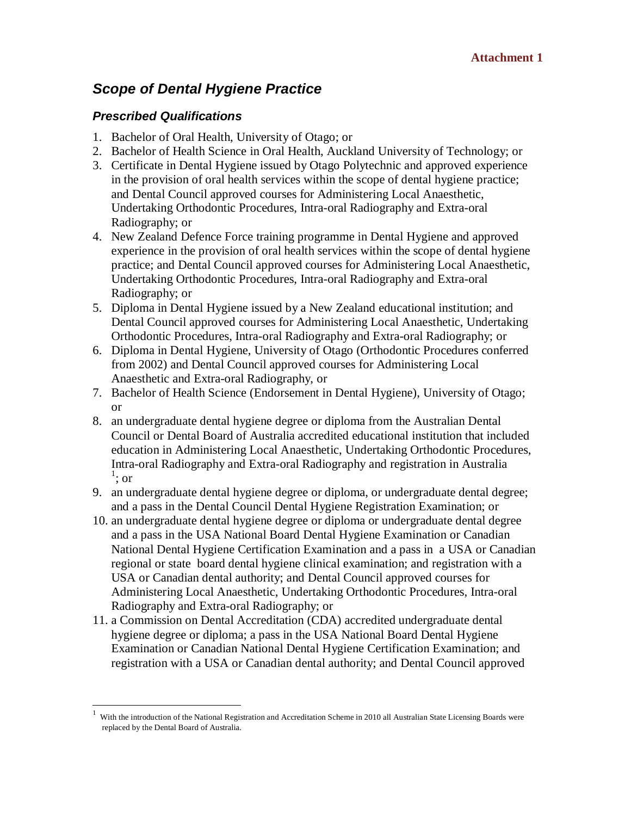# **Scope of Dental Hygiene Practice**

## **Prescribed Qualifications**

-

- 1. Bachelor of Oral Health, University of Otago; or
- 2. Bachelor of Health Science in Oral Health, Auckland University of Technology; or
- 3. Certificate in Dental Hygiene issued by Otago Polytechnic and approved experience in the provision of oral health services within the scope of dental hygiene practice; and Dental Council approved courses for Administering Local Anaesthetic, Undertaking Orthodontic Procedures, Intra-oral Radiography and Extra-oral Radiography; or
- 4. New Zealand Defence Force training programme in Dental Hygiene and approved experience in the provision of oral health services within the scope of dental hygiene practice; and Dental Council approved courses for Administering Local Anaesthetic, Undertaking Orthodontic Procedures, Intra-oral Radiography and Extra-oral Radiography; or
- 5. Diploma in Dental Hygiene issued by a New Zealand educational institution; and Dental Council approved courses for Administering Local Anaesthetic, Undertaking Orthodontic Procedures, Intra-oral Radiography and Extra-oral Radiography; or
- 6. Diploma in Dental Hygiene, University of Otago (Orthodontic Procedures conferred from 2002) and Dental Council approved courses for Administering Local Anaesthetic and Extra-oral Radiography, or
- 7. Bachelor of Health Science (Endorsement in Dental Hygiene), University of Otago; or
- 8. an undergraduate dental hygiene degree or diploma from the Australian Dental Council or Dental Board of Australia accredited educational institution that included education in Administering Local Anaesthetic, Undertaking Orthodontic Procedures, Intra-oral Radiography and Extra-oral Radiography and registration in Australia  $\frac{1}{\cdot}$ ; or
- 9. an undergraduate dental hygiene degree or diploma, or undergraduate dental degree; and a pass in the Dental Council Dental Hygiene Registration Examination; or
- 10. an undergraduate dental hygiene degree or diploma or undergraduate dental degree and a pass in the USA National Board Dental Hygiene Examination or Canadian National Dental Hygiene Certification Examination and a pass in a USA or Canadian regional or state board dental hygiene clinical examination; and registration with a USA or Canadian dental authority; and Dental Council approved courses for Administering Local Anaesthetic, Undertaking Orthodontic Procedures, Intra-oral Radiography and Extra-oral Radiography; or
- 11. a Commission on Dental Accreditation (CDA) accredited undergraduate dental hygiene degree or diploma; a pass in the USA National Board Dental Hygiene Examination or Canadian National Dental Hygiene Certification Examination; and registration with a USA or Canadian dental authority; and Dental Council approved

<sup>1</sup> With the introduction of the National Registration and Accreditation Scheme in 2010 all Australian State Licensing Boards were replaced by the Dental Board of Australia.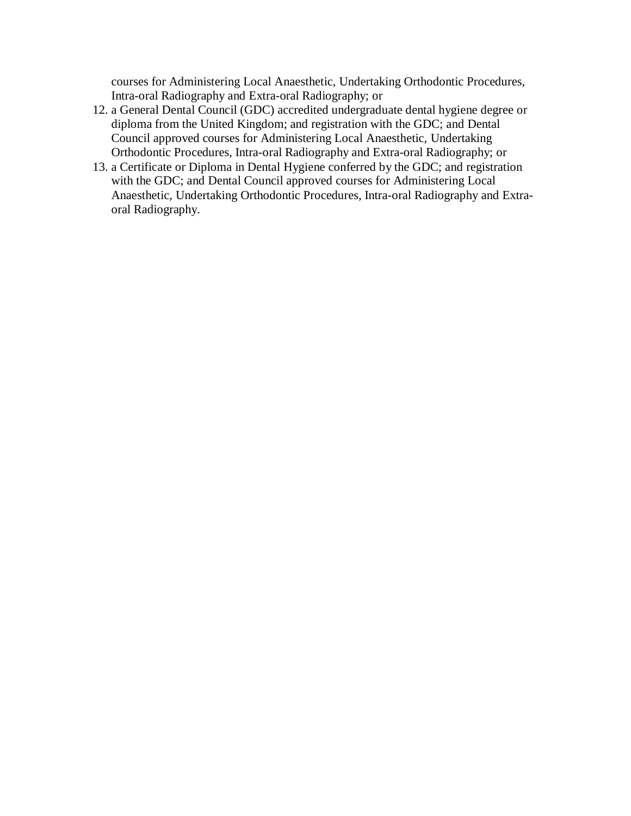courses for Administering Local Anaesthetic, Undertaking Orthodontic Procedures, Intra-oral Radiography and Extra-oral Radiography; or

- 12. a General Dental Council (GDC) accredited undergraduate dental hygiene degree or diploma from the United Kingdom; and registration with the GDC; and Dental Council approved courses for Administering Local Anaesthetic, Undertaking Orthodontic Procedures, Intra-oral Radiography and Extra-oral Radiography; or
- 13. a Certificate or Diploma in Dental Hygiene conferred by the GDC; and registration with the GDC; and Dental Council approved courses for Administering Local Anaesthetic, Undertaking Orthodontic Procedures, Intra-oral Radiography and Extraoral Radiography.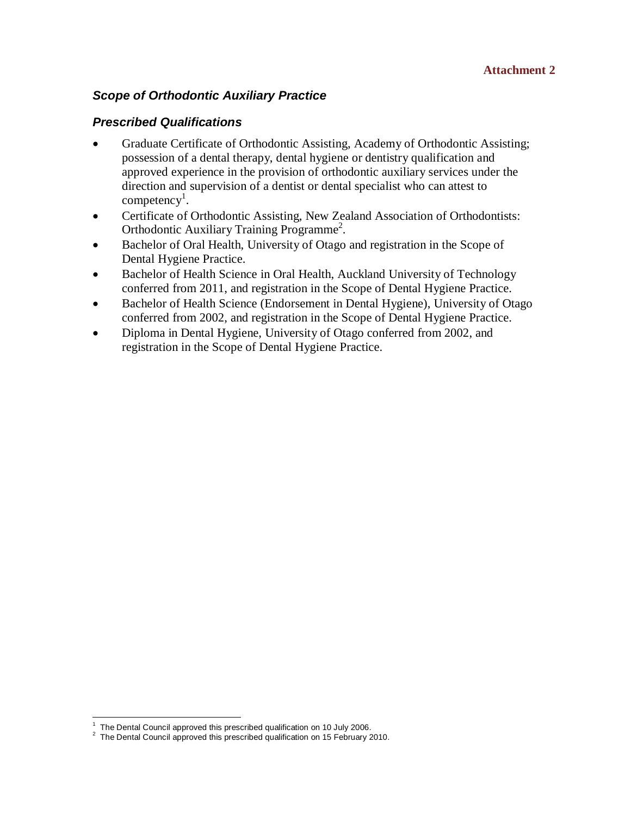# **Scope of Orthodontic Auxiliary Practice**

#### **Prescribed Qualifications**

- Graduate Certificate of Orthodontic Assisting, Academy of Orthodontic Assisting; possession of a dental therapy, dental hygiene or dentistry qualification and approved experience in the provision of orthodontic auxiliary services under the direction and supervision of a dentist or dental specialist who can attest to competency<sup>1</sup>.
- Certificate of Orthodontic Assisting, New Zealand Association of Orthodontists: Orthodontic Auxiliary Training Programme<sup>2</sup>.
- Bachelor of Oral Health, University of Otago and registration in the Scope of Dental Hygiene Practice.
- Bachelor of Health Science in Oral Health, Auckland University of Technology conferred from 2011, and registration in the Scope of Dental Hygiene Practice.
- Bachelor of Health Science (Endorsement in Dental Hygiene), University of Otago conferred from 2002, and registration in the Scope of Dental Hygiene Practice.
- Diploma in Dental Hygiene, University of Otago conferred from 2002, and registration in the Scope of Dental Hygiene Practice.

<sup>&</sup>lt;u>.</u> 1 The Dental Council approved this prescribed qualification on 10 July 2006.

<sup>&</sup>lt;sup>2</sup> The Dental Council approved this prescribed qualification on 15 February 2010.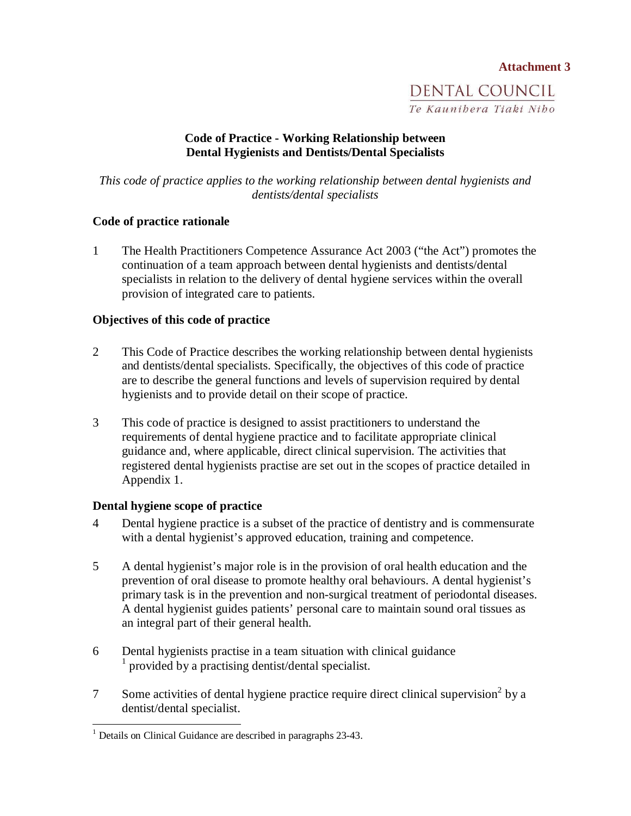# **Attachment 3** DENTAL COUNCIL Te Kaunibera Tiaki Nibo

#### **Code of Practice - Working Relationship between Dental Hygienists and Dentists/Dental Specialists**

*This code of practice applies to the working relationship between dental hygienists and dentists/dental specialists* 

#### **Code of practice rationale**

1 The Health Practitioners Competence Assurance Act 2003 ("the Act") promotes the continuation of a team approach between dental hygienists and dentists/dental specialists in relation to the delivery of dental hygiene services within the overall provision of integrated care to patients.

#### **Objectives of this code of practice**

- 2 This Code of Practice describes the working relationship between dental hygienists and dentists/dental specialists. Specifically, the objectives of this code of practice are to describe the general functions and levels of supervision required by dental hygienists and to provide detail on their scope of practice.
- 3 This code of practice is designed to assist practitioners to understand the requirements of dental hygiene practice and to facilitate appropriate clinical guidance and, where applicable, direct clinical supervision. The activities that registered dental hygienists practise are set out in the scopes of practice detailed in Appendix 1.

#### **Dental hygiene scope of practice**

- 4 Dental hygiene practice is a subset of the practice of dentistry and is commensurate with a dental hygienist's approved education, training and competence.
- 5 A dental hygienist's major role is in the provision of oral health education and the prevention of oral disease to promote healthy oral behaviours. A dental hygienist's primary task is in the prevention and non-surgical treatment of periodontal diseases. A dental hygienist guides patients' personal care to maintain sound oral tissues as an integral part of their general health.
- 6 Dental hygienists practise in a team situation with clinical guidance 1 provided by a practising dentist/dental specialist.
- 7 Some activities of dental hygiene practice require direct clinical supervision<sup>2</sup> by a dentist/dental specialist.

 1 Details on Clinical Guidance are described in paragraphs 23-43.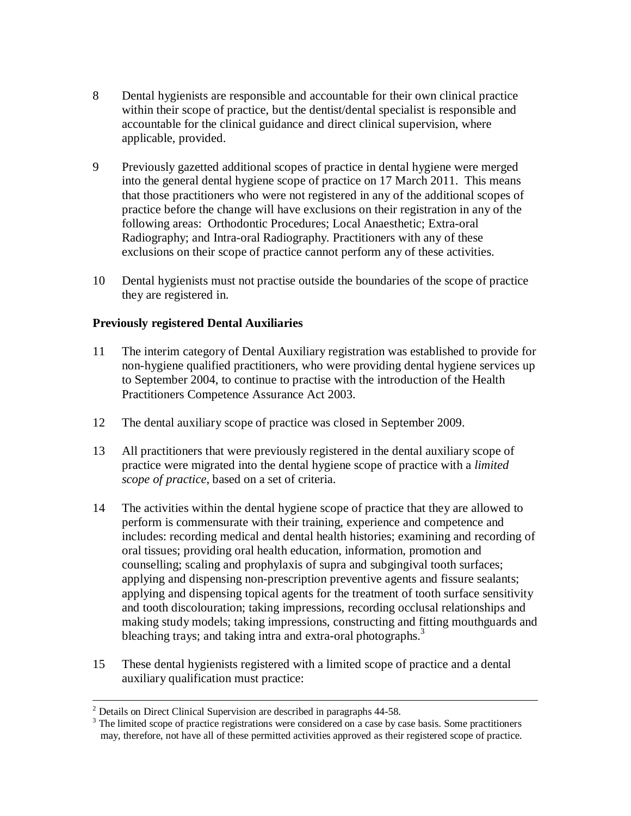- 8 Dental hygienists are responsible and accountable for their own clinical practice within their scope of practice, but the dentist/dental specialist is responsible and accountable for the clinical guidance and direct clinical supervision, where applicable, provided.
- 9 Previously gazetted additional scopes of practice in dental hygiene were merged into the general dental hygiene scope of practice on 17 March 2011. This means that those practitioners who were not registered in any of the additional scopes of practice before the change will have exclusions on their registration in any of the following areas: Orthodontic Procedures; Local Anaesthetic; Extra-oral Radiography; and Intra-oral Radiography. Practitioners with any of these exclusions on their scope of practice cannot perform any of these activities.
- 10 Dental hygienists must not practise outside the boundaries of the scope of practice they are registered in.

#### **Previously registered Dental Auxiliaries**

- 11 The interim category of Dental Auxiliary registration was established to provide for non-hygiene qualified practitioners, who were providing dental hygiene services up to September 2004, to continue to practise with the introduction of the Health Practitioners Competence Assurance Act 2003.
- 12 The dental auxiliary scope of practice was closed in September 2009.
- 13 All practitioners that were previously registered in the dental auxiliary scope of practice were migrated into the dental hygiene scope of practice with a *limited scope of practice*, based on a set of criteria.
- 14 The activities within the dental hygiene scope of practice that they are allowed to perform is commensurate with their training, experience and competence and includes: recording medical and dental health histories; examining and recording of oral tissues; providing oral health education, information, promotion and counselling; scaling and prophylaxis of supra and subgingival tooth surfaces; applying and dispensing non-prescription preventive agents and fissure sealants; applying and dispensing topical agents for the treatment of tooth surface sensitivity and tooth discolouration; taking impressions, recording occlusal relationships and making study models; taking impressions, constructing and fitting mouthguards and bleaching trays; and taking intra and extra-oral photographs.<sup>3</sup>
- 15 These dental hygienists registered with a limited scope of practice and a dental auxiliary qualification must practice:

 $\overline{a}$ 

 $2^2$  Details on Direct Clinical Supervision are described in paragraphs 44-58.

<sup>&</sup>lt;sup>3</sup> The limited scope of practice registrations were considered on a case by case basis. Some practitioners may, therefore, not have all of these permitted activities approved as their registered scope of practice.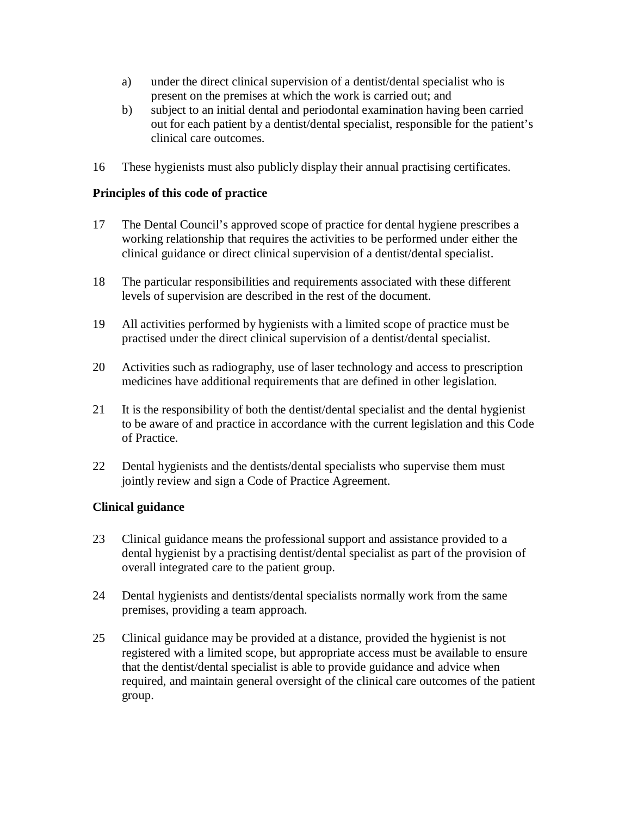- a) under the direct clinical supervision of a dentist/dental specialist who is present on the premises at which the work is carried out; and
- b) subject to an initial dental and periodontal examination having been carried out for each patient by a dentist/dental specialist, responsible for the patient's clinical care outcomes.
- 16 These hygienists must also publicly display their annual practising certificates.

#### **Principles of this code of practice**

- 17 The Dental Council's approved scope of practice for dental hygiene prescribes a working relationship that requires the activities to be performed under either the clinical guidance or direct clinical supervision of a dentist/dental specialist.
- 18 The particular responsibilities and requirements associated with these different levels of supervision are described in the rest of the document.
- 19 All activities performed by hygienists with a limited scope of practice must be practised under the direct clinical supervision of a dentist/dental specialist.
- 20 Activities such as radiography, use of laser technology and access to prescription medicines have additional requirements that are defined in other legislation.
- 21 It is the responsibility of both the dentist/dental specialist and the dental hygienist to be aware of and practice in accordance with the current legislation and this Code of Practice.
- 22 Dental hygienists and the dentists/dental specialists who supervise them must jointly review and sign a Code of Practice Agreement.

#### **Clinical guidance**

- 23 Clinical guidance means the professional support and assistance provided to a dental hygienist by a practising dentist/dental specialist as part of the provision of overall integrated care to the patient group.
- 24 Dental hygienists and dentists/dental specialists normally work from the same premises, providing a team approach.
- 25 Clinical guidance may be provided at a distance, provided the hygienist is not registered with a limited scope, but appropriate access must be available to ensure that the dentist/dental specialist is able to provide guidance and advice when required, and maintain general oversight of the clinical care outcomes of the patient group.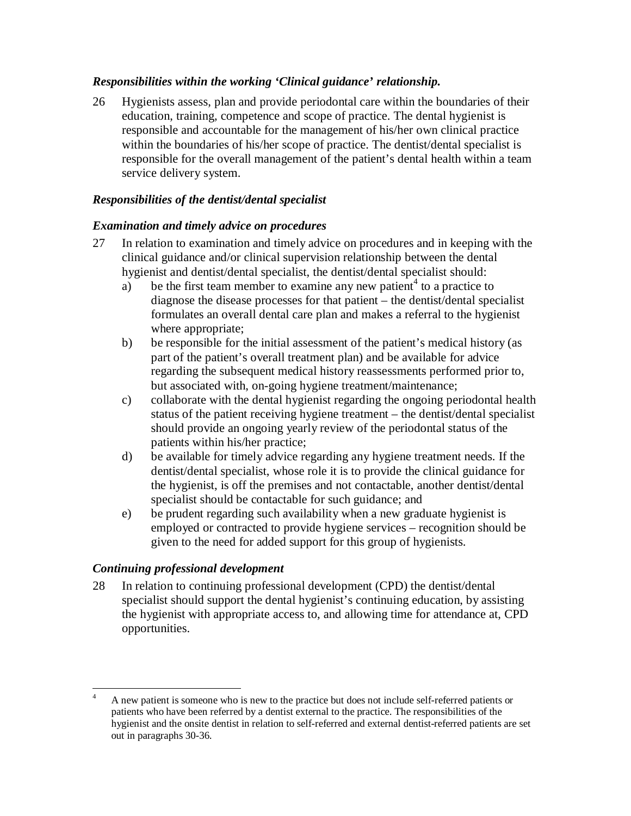#### *Responsibilities within the working 'Clinical guidance' relationship.*

26 Hygienists assess, plan and provide periodontal care within the boundaries of their education, training, competence and scope of practice. The dental hygienist is responsible and accountable for the management of his/her own clinical practice within the boundaries of his/her scope of practice. The dentist/dental specialist is responsible for the overall management of the patient's dental health within a team service delivery system.

## *Responsibilities of the dentist/dental specialist*

#### *Examination and timely advice on procedures*

- 27 In relation to examination and timely advice on procedures and in keeping with the clinical guidance and/or clinical supervision relationship between the dental hygienist and dentist/dental specialist, the dentist/dental specialist should:
	- a) be the first team member to examine any new patient<sup>4</sup> to a practice to diagnose the disease processes for that patient – the dentist/dental specialist formulates an overall dental care plan and makes a referral to the hygienist where appropriate;
	- b) be responsible for the initial assessment of the patient's medical history (as part of the patient's overall treatment plan) and be available for advice regarding the subsequent medical history reassessments performed prior to, but associated with, on-going hygiene treatment/maintenance;
	- c) collaborate with the dental hygienist regarding the ongoing periodontal health status of the patient receiving hygiene treatment – the dentist/dental specialist should provide an ongoing yearly review of the periodontal status of the patients within his/her practice;
	- d) be available for timely advice regarding any hygiene treatment needs. If the dentist/dental specialist, whose role it is to provide the clinical guidance for the hygienist, is off the premises and not contactable, another dentist/dental specialist should be contactable for such guidance; and
	- e) be prudent regarding such availability when a new graduate hygienist is employed or contracted to provide hygiene services – recognition should be given to the need for added support for this group of hygienists.

#### *Continuing professional development*

28 In relation to continuing professional development (CPD) the dentist/dental specialist should support the dental hygienist's continuing education, by assisting the hygienist with appropriate access to, and allowing time for attendance at, CPD opportunities.

<sup>-</sup>4 A new patient is someone who is new to the practice but does not include self-referred patients or patients who have been referred by a dentist external to the practice. The responsibilities of the hygienist and the onsite dentist in relation to self-referred and external dentist-referred patients are set out in paragraphs 30-36.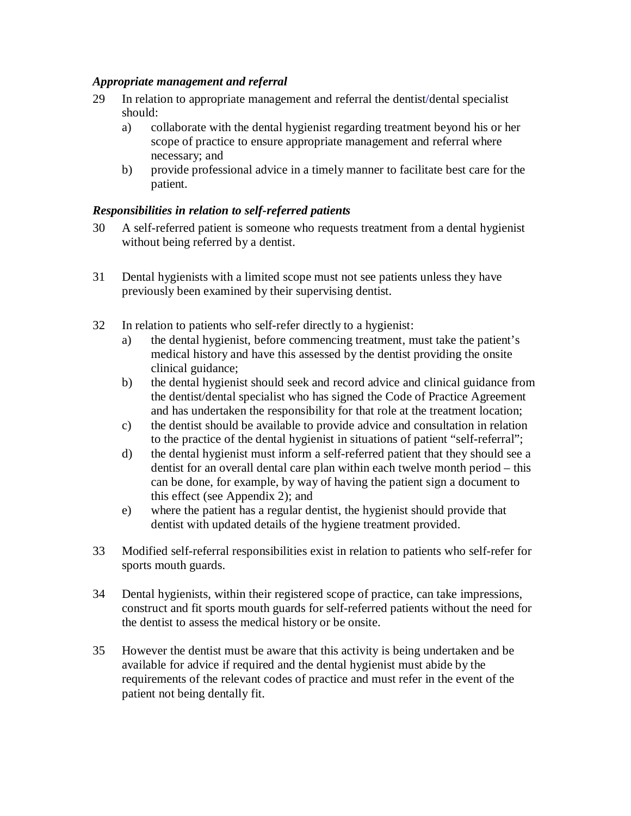#### *Appropriate management and referral*

- 29 In relation to appropriate management and referral the dentist/dental specialist should:
	- a) collaborate with the dental hygienist regarding treatment beyond his or her scope of practice to ensure appropriate management and referral where necessary; and
	- b) provide professional advice in a timely manner to facilitate best care for the patient.

#### *Responsibilities in relation to self-referred patients*

- 30 A self-referred patient is someone who requests treatment from a dental hygienist without being referred by a dentist.
- 31 Dental hygienists with a limited scope must not see patients unless they have previously been examined by their supervising dentist.
- 32 In relation to patients who self-refer directly to a hygienist:
	- a) the dental hygienist, before commencing treatment, must take the patient's medical history and have this assessed by the dentist providing the onsite clinical guidance;
	- b) the dental hygienist should seek and record advice and clinical guidance from the dentist/dental specialist who has signed the Code of Practice Agreement and has undertaken the responsibility for that role at the treatment location;
	- c) the dentist should be available to provide advice and consultation in relation to the practice of the dental hygienist in situations of patient "self-referral";
	- d) the dental hygienist must inform a self-referred patient that they should see a dentist for an overall dental care plan within each twelve month period – this can be done, for example, by way of having the patient sign a document to this effect (see Appendix 2); and
	- e) where the patient has a regular dentist, the hygienist should provide that dentist with updated details of the hygiene treatment provided.
- 33 Modified self-referral responsibilities exist in relation to patients who self-refer for sports mouth guards.
- 34 Dental hygienists, within their registered scope of practice, can take impressions, construct and fit sports mouth guards for self-referred patients without the need for the dentist to assess the medical history or be onsite.
- 35 However the dentist must be aware that this activity is being undertaken and be available for advice if required and the dental hygienist must abide by the requirements of the relevant codes of practice and must refer in the event of the patient not being dentally fit.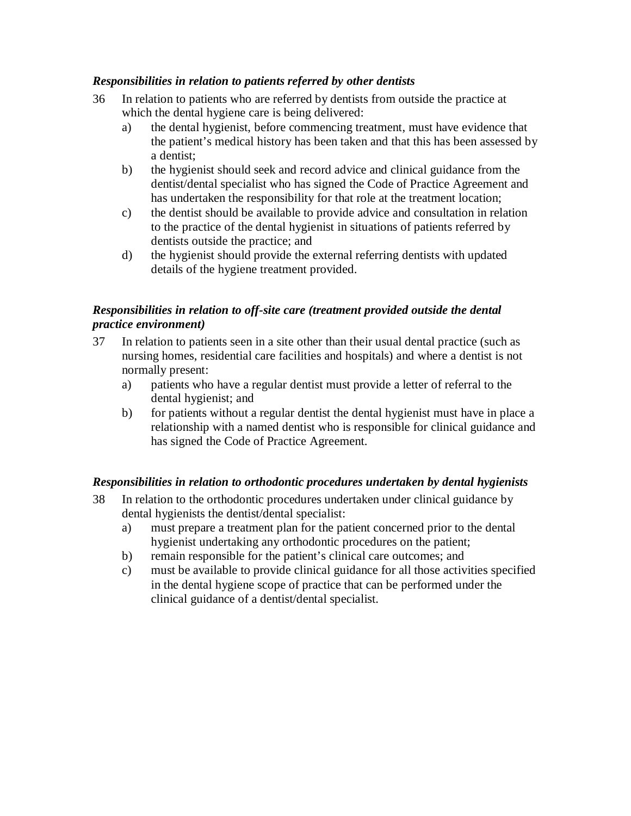#### *Responsibilities in relation to patients referred by other dentists*

- 36 In relation to patients who are referred by dentists from outside the practice at which the dental hygiene care is being delivered:
	- a) the dental hygienist, before commencing treatment, must have evidence that the patient's medical history has been taken and that this has been assessed by a dentist;
	- b) the hygienist should seek and record advice and clinical guidance from the dentist/dental specialist who has signed the Code of Practice Agreement and has undertaken the responsibility for that role at the treatment location;
	- c) the dentist should be available to provide advice and consultation in relation to the practice of the dental hygienist in situations of patients referred by dentists outside the practice; and
	- d) the hygienist should provide the external referring dentists with updated details of the hygiene treatment provided.

#### *Responsibilities in relation to off-site care (treatment provided outside the dental practice environment)*

- 37 In relation to patients seen in a site other than their usual dental practice (such as nursing homes, residential care facilities and hospitals) and where a dentist is not normally present:
	- a) patients who have a regular dentist must provide a letter of referral to the dental hygienist; and
	- b) for patients without a regular dentist the dental hygienist must have in place a relationship with a named dentist who is responsible for clinical guidance and has signed the Code of Practice Agreement.

#### *Responsibilities in relation to orthodontic procedures undertaken by dental hygienists*

- 38 In relation to the orthodontic procedures undertaken under clinical guidance by dental hygienists the dentist/dental specialist:
	- a) must prepare a treatment plan for the patient concerned prior to the dental hygienist undertaking any orthodontic procedures on the patient;
	- b) remain responsible for the patient's clinical care outcomes; and
	- c) must be available to provide clinical guidance for all those activities specified in the dental hygiene scope of practice that can be performed under the clinical guidance of a dentist/dental specialist.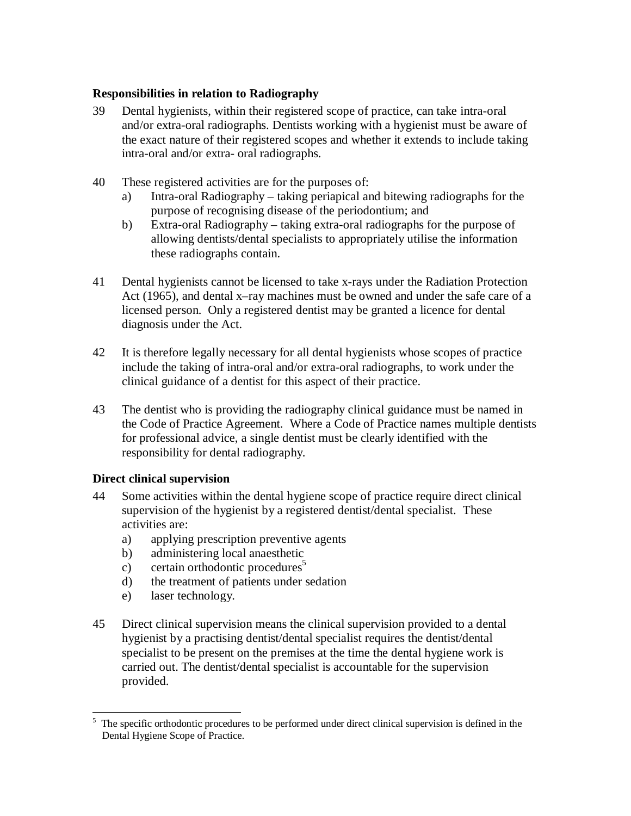#### **Responsibilities in relation to Radiography**

- 39 Dental hygienists, within their registered scope of practice, can take intra-oral and/or extra-oral radiographs. Dentists working with a hygienist must be aware of the exact nature of their registered scopes and whether it extends to include taking intra-oral and/or extra- oral radiographs.
- 40 These registered activities are for the purposes of:
	- a) Intra-oral Radiography taking periapical and bitewing radiographs for the purpose of recognising disease of the periodontium; and
	- b) Extra-oral Radiography taking extra-oral radiographs for the purpose of allowing dentists/dental specialists to appropriately utilise the information these radiographs contain.
- 41 Dental hygienists cannot be licensed to take x-rays under the Radiation Protection Act (1965), and dental x–ray machines must be owned and under the safe care of a licensed person. Only a registered dentist may be granted a licence for dental diagnosis under the Act.
- 42 It is therefore legally necessary for all dental hygienists whose scopes of practice include the taking of intra-oral and/or extra-oral radiographs, to work under the clinical guidance of a dentist for this aspect of their practice.
- 43 The dentist who is providing the radiography clinical guidance must be named in the Code of Practice Agreement. Where a Code of Practice names multiple dentists for professional advice, a single dentist must be clearly identified with the responsibility for dental radiography.

#### **Direct clinical supervision**

- 44 Some activities within the dental hygiene scope of practice require direct clinical supervision of the hygienist by a registered dentist/dental specialist. These activities are:
	- a) applying prescription preventive agents
	- b) administering local anaesthetic
	- c) certain orthodontic procedures<sup>5</sup>
	- d) the treatment of patients under sedation
	- e) laser technology.
- 45 Direct clinical supervision means the clinical supervision provided to a dental hygienist by a practising dentist/dental specialist requires the dentist/dental specialist to be present on the premises at the time the dental hygiene work is carried out. The dentist/dental specialist is accountable for the supervision provided.

<sup>&</sup>lt;u>.</u> 5 The specific orthodontic procedures to be performed under direct clinical supervision is defined in the Dental Hygiene Scope of Practice.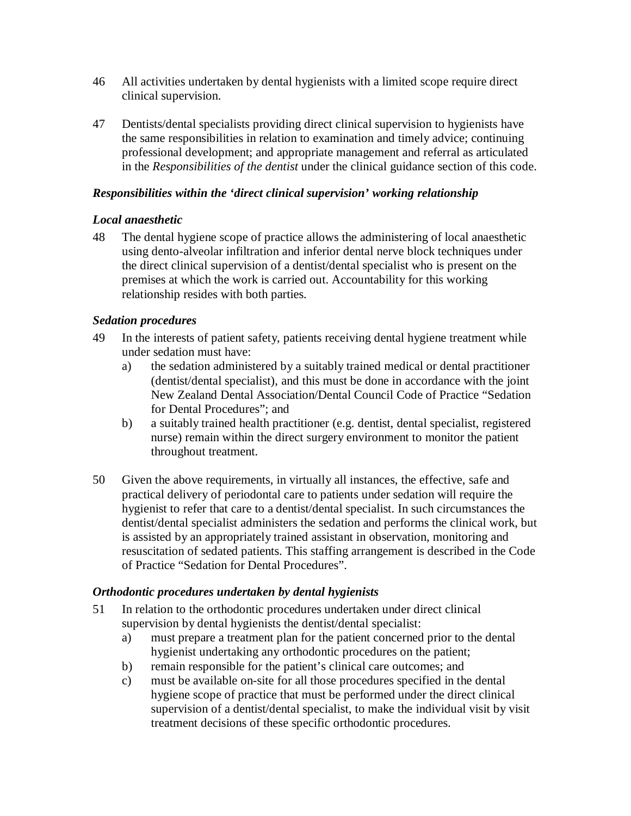- 46 All activities undertaken by dental hygienists with a limited scope require direct clinical supervision.
- 47 Dentists/dental specialists providing direct clinical supervision to hygienists have the same responsibilities in relation to examination and timely advice; continuing professional development; and appropriate management and referral as articulated in the *Responsibilities of the dentist* under the clinical guidance section of this code.

#### *Responsibilities within the 'direct clinical supervision' working relationship*

#### *Local anaesthetic*

48 The dental hygiene scope of practice allows the administering of local anaesthetic using dento-alveolar infiltration and inferior dental nerve block techniques under the direct clinical supervision of a dentist/dental specialist who is present on the premises at which the work is carried out. Accountability for this working relationship resides with both parties.

#### *Sedation procedures*

- 49 In the interests of patient safety, patients receiving dental hygiene treatment while under sedation must have:
	- a) the sedation administered by a suitably trained medical or dental practitioner (dentist/dental specialist), and this must be done in accordance with the joint New Zealand Dental Association/Dental Council Code of Practice "Sedation for Dental Procedures"; and
	- b) a suitably trained health practitioner (e.g. dentist, dental specialist, registered nurse) remain within the direct surgery environment to monitor the patient throughout treatment.
- 50 Given the above requirements, in virtually all instances, the effective, safe and practical delivery of periodontal care to patients under sedation will require the hygienist to refer that care to a dentist/dental specialist. In such circumstances the dentist/dental specialist administers the sedation and performs the clinical work, but is assisted by an appropriately trained assistant in observation, monitoring and resuscitation of sedated patients. This staffing arrangement is described in the Code of Practice "Sedation for Dental Procedures".

#### *Orthodontic procedures undertaken by dental hygienists*

- 51 In relation to the orthodontic procedures undertaken under direct clinical supervision by dental hygienists the dentist/dental specialist:
	- a) must prepare a treatment plan for the patient concerned prior to the dental hygienist undertaking any orthodontic procedures on the patient;
	- b) remain responsible for the patient's clinical care outcomes; and
	- c) must be available on-site for all those procedures specified in the dental hygiene scope of practice that must be performed under the direct clinical supervision of a dentist/dental specialist, to make the individual visit by visit treatment decisions of these specific orthodontic procedures.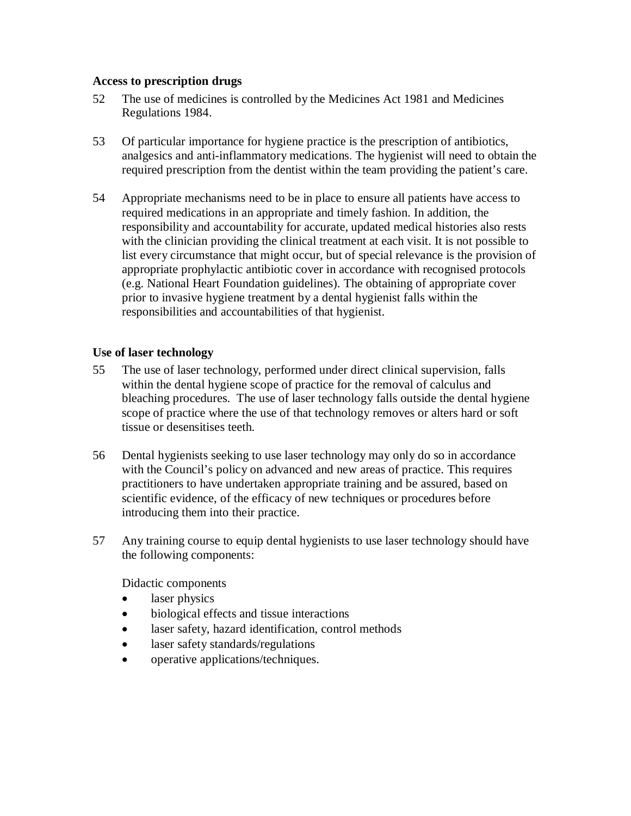#### **Access to prescription drugs**

- 52 The use of medicines is controlled by the Medicines Act 1981 and Medicines Regulations 1984.
- 53 Of particular importance for hygiene practice is the prescription of antibiotics, analgesics and anti-inflammatory medications. The hygienist will need to obtain the required prescription from the dentist within the team providing the patient's care.
- 54 Appropriate mechanisms need to be in place to ensure all patients have access to required medications in an appropriate and timely fashion. In addition, the responsibility and accountability for accurate, updated medical histories also rests with the clinician providing the clinical treatment at each visit. It is not possible to list every circumstance that might occur, but of special relevance is the provision of appropriate prophylactic antibiotic cover in accordance with recognised protocols (e.g. National Heart Foundation guidelines). The obtaining of appropriate cover prior to invasive hygiene treatment by a dental hygienist falls within the responsibilities and accountabilities of that hygienist.

#### **Use of laser technology**

- 55 The use of laser technology, performed under direct clinical supervision, falls within the dental hygiene scope of practice for the removal of calculus and bleaching procedures. The use of laser technology falls outside the dental hygiene scope of practice where the use of that technology removes or alters hard or soft tissue or desensitises teeth.
- 56 Dental hygienists seeking to use laser technology may only do so in accordance with the Council's policy on advanced and new areas of practice. This requires practitioners to have undertaken appropriate training and be assured, based on scientific evidence, of the efficacy of new techniques or procedures before introducing them into their practice.
- 57 Any training course to equip dental hygienists to use laser technology should have the following components:

Didactic components

- laser physics
- biological effects and tissue interactions
- laser safety, hazard identification, control methods
- laser safety standards/regulations
- operative applications/techniques.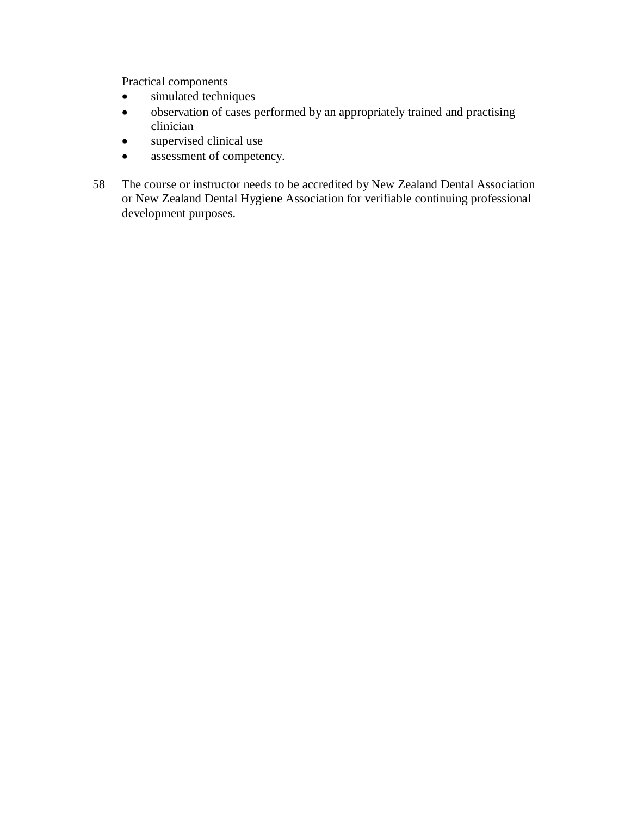Practical components

- simulated techniques
- observation of cases performed by an appropriately trained and practising clinician
- supervised clinical use
- assessment of competency.
- 58 The course or instructor needs to be accredited by New Zealand Dental Association or New Zealand Dental Hygiene Association for verifiable continuing professional development purposes.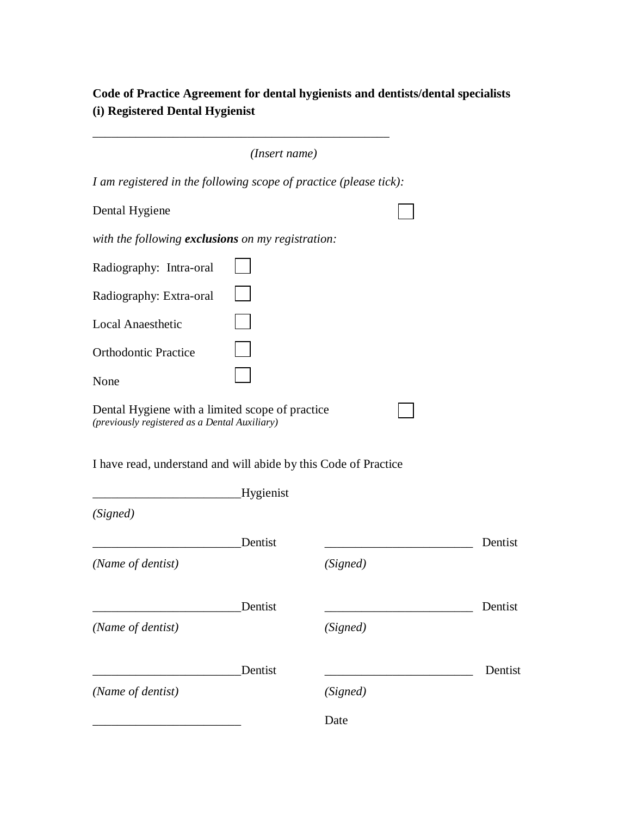# **Code of Practice Agreement for dental hygienists and dentists/dental specialists (i) Registered Dental Hygienist**

|                                                                                                  | (Insert name)    |          |         |
|--------------------------------------------------------------------------------------------------|------------------|----------|---------|
| I am registered in the following scope of practice (please tick):                                |                  |          |         |
| Dental Hygiene                                                                                   |                  |          |         |
| with the following <b>exclusions</b> on my registration:                                         |                  |          |         |
| Radiography: Intra-oral                                                                          |                  |          |         |
| Radiography: Extra-oral                                                                          |                  |          |         |
| <b>Local Anaesthetic</b>                                                                         |                  |          |         |
| <b>Orthodontic Practice</b>                                                                      |                  |          |         |
| None                                                                                             |                  |          |         |
| Dental Hygiene with a limited scope of practice<br>(previously registered as a Dental Auxiliary) |                  |          |         |
| I have read, understand and will abide by this Code of Practice                                  |                  |          |         |
|                                                                                                  | <b>Hygienist</b> |          |         |
| (Signed)                                                                                         |                  |          |         |
|                                                                                                  | Dentist          |          | Dentist |
| (Name of dentist)                                                                                |                  | (Signed) |         |
|                                                                                                  | Dentist          |          | Dentist |
| (Name of dentist)                                                                                |                  | (Signed) |         |
|                                                                                                  | Dentist          |          | Dentist |
| (Name of dentist)                                                                                |                  | (Signed) |         |
|                                                                                                  |                  | Date     |         |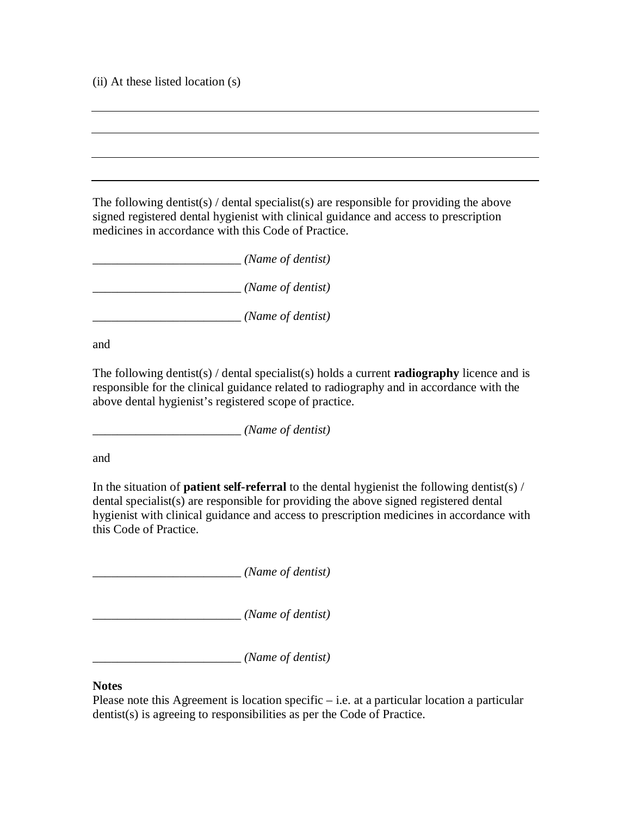(ii) At these listed location (s)

The following dentist(s) / dental specialist(s) are responsible for providing the above signed registered dental hygienist with clinical guidance and access to prescription medicines in accordance with this Code of Practice.

\_\_\_\_\_\_\_\_\_\_\_\_\_\_\_\_\_\_\_\_\_\_\_\_ *(Name of dentist)*

\_\_\_\_\_\_\_\_\_\_\_\_\_\_\_\_\_\_\_\_\_\_\_\_ *(Name of dentist)*

\_\_\_\_\_\_\_\_\_\_\_\_\_\_\_\_\_\_\_\_\_\_\_\_ *(Name of dentist)* 

and

The following dentist(s) / dental specialist(s) holds a current **radiography** licence and is responsible for the clinical guidance related to radiography and in accordance with the above dental hygienist's registered scope of practice.

\_\_\_\_\_\_\_\_\_\_\_\_\_\_\_\_\_\_\_\_\_\_\_\_ *(Name of dentist)*

and

In the situation of **patient self-referral** to the dental hygienist the following dentist(s) / dental specialist(s) are responsible for providing the above signed registered dental hygienist with clinical guidance and access to prescription medicines in accordance with this Code of Practice.

\_\_\_\_\_\_\_\_\_\_\_\_\_\_\_\_\_\_\_\_\_\_\_\_ *(Name of dentist)*

\_\_\_\_\_\_\_\_\_\_\_\_\_\_\_\_\_\_\_\_\_\_\_\_ *(Name of dentist)*

\_\_\_\_\_\_\_\_\_\_\_\_\_\_\_\_\_\_\_\_\_\_\_\_ *(Name of dentist)*

#### **Notes**

Please note this Agreement is location specific – i.e. at a particular location a particular dentist(s) is agreeing to responsibilities as per the Code of Practice.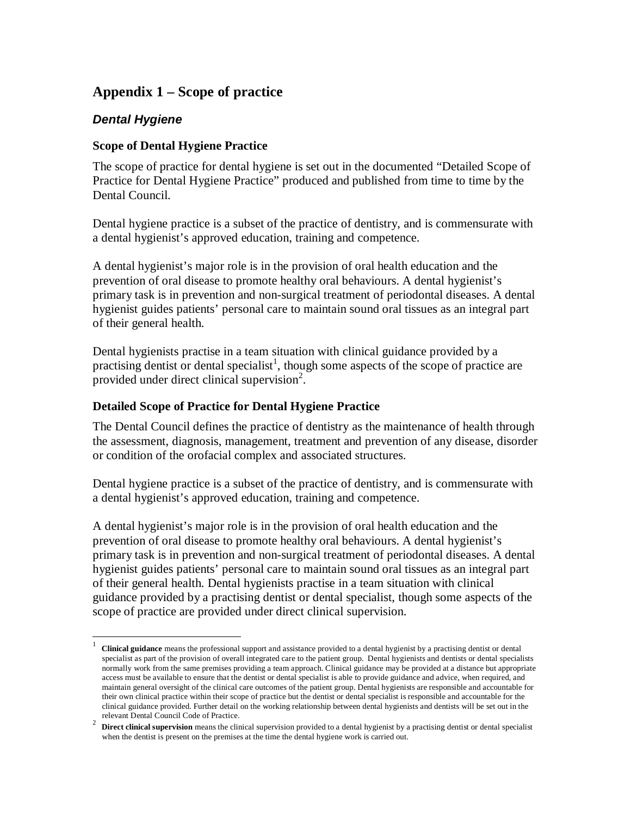# **Appendix 1 – Scope of practice**

## **Dental Hygiene**

-

#### **Scope of Dental Hygiene Practice**

The scope of practice for dental hygiene is set out in the documented "Detailed Scope of Practice for Dental Hygiene Practice" produced and published from time to time by the Dental Council.

Dental hygiene practice is a subset of the practice of dentistry, and is commensurate with a dental hygienist's approved education, training and competence.

A dental hygienist's major role is in the provision of oral health education and the prevention of oral disease to promote healthy oral behaviours. A dental hygienist's primary task is in prevention and non-surgical treatment of periodontal diseases. A dental hygienist guides patients' personal care to maintain sound oral tissues as an integral part of their general health.

Dental hygienists practise in a team situation with clinical guidance provided by a practising dentist or dental specialist<sup>1</sup>, though some aspects of the scope of practice are provided under direct clinical supervision<sup>2</sup>.

#### **Detailed Scope of Practice for Dental Hygiene Practice**

The Dental Council defines the practice of dentistry as the maintenance of health through the assessment, diagnosis, management, treatment and prevention of any disease, disorder or condition of the orofacial complex and associated structures.

Dental hygiene practice is a subset of the practice of dentistry, and is commensurate with a dental hygienist's approved education, training and competence.

A dental hygienist's major role is in the provision of oral health education and the prevention of oral disease to promote healthy oral behaviours. A dental hygienist's primary task is in prevention and non-surgical treatment of periodontal diseases. A dental hygienist guides patients' personal care to maintain sound oral tissues as an integral part of their general health. Dental hygienists practise in a team situation with clinical guidance provided by a practising dentist or dental specialist, though some aspects of the scope of practice are provided under direct clinical supervision.

<sup>1</sup> **Clinical guidance** means the professional support and assistance provided to a dental hygienist by a practising dentist or dental specialist as part of the provision of overall integrated care to the patient group. Dental hygienists and dentists or dental specialists normally work from the same premises providing a team approach. Clinical guidance may be provided at a distance but appropriate access must be available to ensure that the dentist or dental specialist is able to provide guidance and advice, when required, and maintain general oversight of the clinical care outcomes of the patient group. Dental hygienists are responsible and accountable for their own clinical practice within their scope of practice but the dentist or dental specialist is responsible and accountable for the clinical guidance provided. Further detail on the working relationship between dental hygienists and dentists will be set out in the relevant Dental Council Code of Practice.

<sup>&</sup>lt;sup>2</sup> Direct clinical supervision means the clinical supervision provided to a dental hygienist by a practising dentist or dental specialist when the dentist is present on the premises at the time the dental hygiene work is carried out.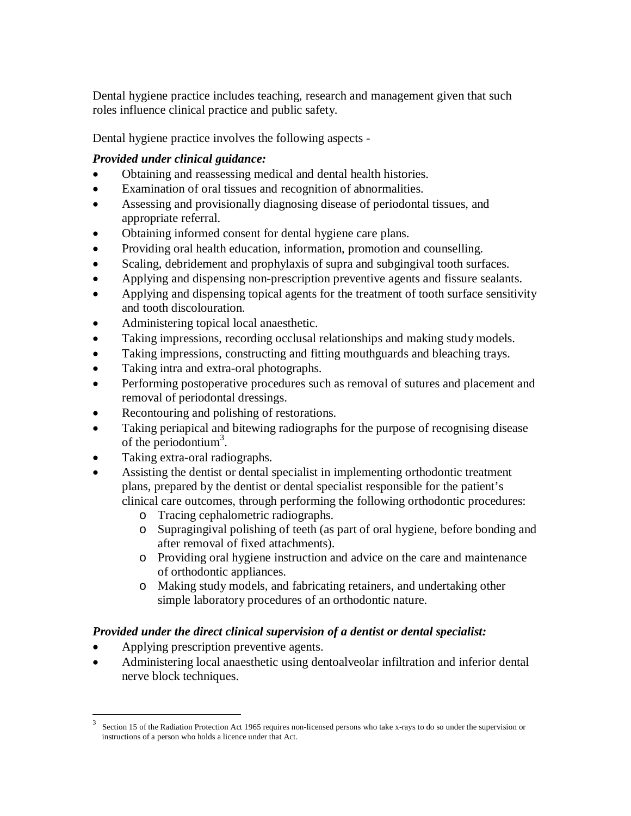Dental hygiene practice includes teaching, research and management given that such roles influence clinical practice and public safety.

Dental hygiene practice involves the following aspects -

# *Provided under clinical guidance:*

- Obtaining and reassessing medical and dental health histories.
- Examination of oral tissues and recognition of abnormalities.
- Assessing and provisionally diagnosing disease of periodontal tissues, and appropriate referral.
- Obtaining informed consent for dental hygiene care plans.
- Providing oral health education, information, promotion and counselling.
- Scaling, debridement and prophylaxis of supra and subgingival tooth surfaces.
- Applying and dispensing non-prescription preventive agents and fissure sealants.
- Applying and dispensing topical agents for the treatment of tooth surface sensitivity and tooth discolouration.
- Administering topical local anaesthetic.
- Taking impressions, recording occlusal relationships and making study models.
- Taking impressions, constructing and fitting mouthguards and bleaching trays.
- Taking intra and extra-oral photographs.
- Performing postoperative procedures such as removal of sutures and placement and removal of periodontal dressings.
- Recontouring and polishing of restorations.
- Taking periapical and bitewing radiographs for the purpose of recognising disease of the periodontium<sup>3</sup>.
- Taking extra-oral radiographs.
- Assisting the dentist or dental specialist in implementing orthodontic treatment plans, prepared by the dentist or dental specialist responsible for the patient's clinical care outcomes, through performing the following orthodontic procedures:
	- o Tracing cephalometric radiographs.
	- o Supragingival polishing of teeth (as part of oral hygiene, before bonding and after removal of fixed attachments).
	- o Providing oral hygiene instruction and advice on the care and maintenance of orthodontic appliances.
	- o Making study models, and fabricating retainers, and undertaking other simple laboratory procedures of an orthodontic nature.

# *Provided under the direct clinical supervision of a dentist or dental specialist:*

- Applying prescription preventive agents.
- Administering local anaesthetic using dentoalveolar infiltration and inferior dental nerve block techniques.

 $\frac{1}{3}$  Section 15 of the Radiation Protection Act 1965 requires non-licensed persons who take x-rays to do so under the supervision or instructions of a person who holds a licence under that Act.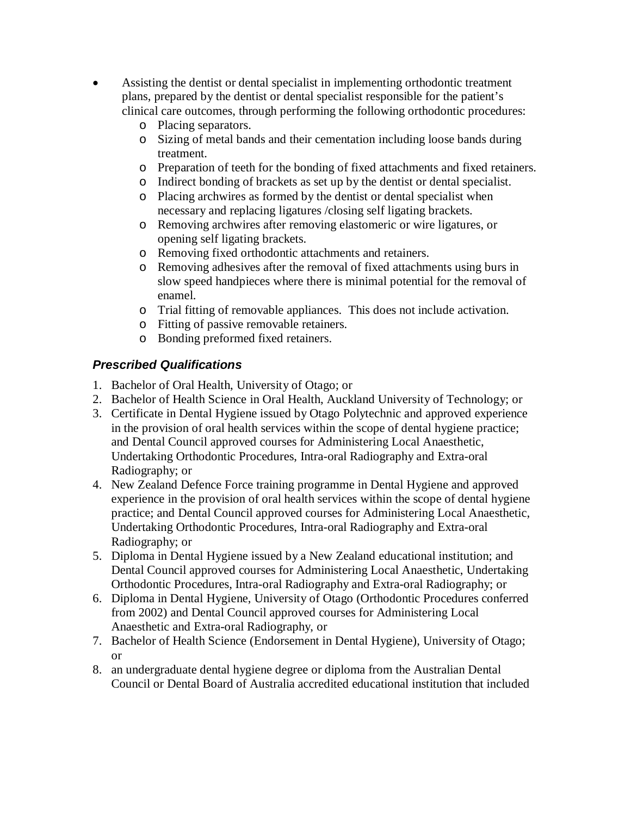- Assisting the dentist or dental specialist in implementing orthodontic treatment plans, prepared by the dentist or dental specialist responsible for the patient's clinical care outcomes, through performing the following orthodontic procedures:
	- o Placing separators.
	- o Sizing of metal bands and their cementation including loose bands during treatment.
	- o Preparation of teeth for the bonding of fixed attachments and fixed retainers.
	- o Indirect bonding of brackets as set up by the dentist or dental specialist.
	- o Placing archwires as formed by the dentist or dental specialist when necessary and replacing ligatures /closing self ligating brackets.
	- o Removing archwires after removing elastomeric or wire ligatures, or opening self ligating brackets.
	- o Removing fixed orthodontic attachments and retainers.
	- o Removing adhesives after the removal of fixed attachments using burs in slow speed handpieces where there is minimal potential for the removal of enamel.
	- o Trial fitting of removable appliances. This does not include activation.
	- o Fitting of passive removable retainers.
	- o Bonding preformed fixed retainers.

## **Prescribed Qualifications**

- 1. Bachelor of Oral Health, University of Otago; or
- 2. Bachelor of Health Science in Oral Health, Auckland University of Technology; or
- 3. Certificate in Dental Hygiene issued by Otago Polytechnic and approved experience in the provision of oral health services within the scope of dental hygiene practice; and Dental Council approved courses for Administering Local Anaesthetic, Undertaking Orthodontic Procedures, Intra-oral Radiography and Extra-oral Radiography; or
- 4. New Zealand Defence Force training programme in Dental Hygiene and approved experience in the provision of oral health services within the scope of dental hygiene practice; and Dental Council approved courses for Administering Local Anaesthetic, Undertaking Orthodontic Procedures, Intra-oral Radiography and Extra-oral Radiography; or
- 5. Diploma in Dental Hygiene issued by a New Zealand educational institution; and Dental Council approved courses for Administering Local Anaesthetic, Undertaking Orthodontic Procedures, Intra-oral Radiography and Extra-oral Radiography; or
- 6. Diploma in Dental Hygiene, University of Otago (Orthodontic Procedures conferred from 2002) and Dental Council approved courses for Administering Local Anaesthetic and Extra-oral Radiography, or
- 7. Bachelor of Health Science (Endorsement in Dental Hygiene), University of Otago; or
- 8. an undergraduate dental hygiene degree or diploma from the Australian Dental Council or Dental Board of Australia accredited educational institution that included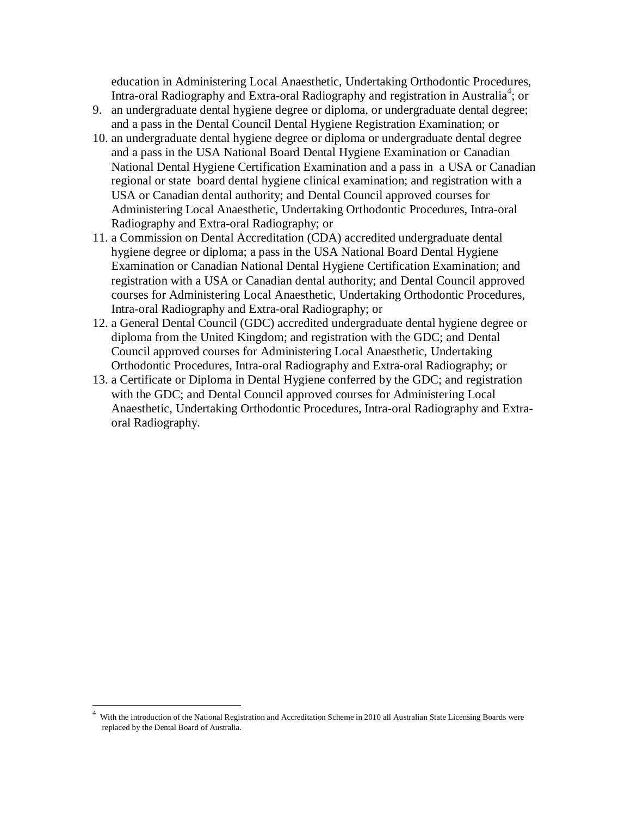education in Administering Local Anaesthetic, Undertaking Orthodontic Procedures, Intra-oral Radiography and Extra-oral Radiography and registration in Australia<sup>4</sup>; or

- 9. an undergraduate dental hygiene degree or diploma, or undergraduate dental degree; and a pass in the Dental Council Dental Hygiene Registration Examination; or
- 10. an undergraduate dental hygiene degree or diploma or undergraduate dental degree and a pass in the USA National Board Dental Hygiene Examination or Canadian National Dental Hygiene Certification Examination and a pass in a USA or Canadian regional or state board dental hygiene clinical examination; and registration with a USA or Canadian dental authority; and Dental Council approved courses for Administering Local Anaesthetic, Undertaking Orthodontic Procedures, Intra-oral Radiography and Extra-oral Radiography; or
- 11. a Commission on Dental Accreditation (CDA) accredited undergraduate dental hygiene degree or diploma; a pass in the USA National Board Dental Hygiene Examination or Canadian National Dental Hygiene Certification Examination; and registration with a USA or Canadian dental authority; and Dental Council approved courses for Administering Local Anaesthetic, Undertaking Orthodontic Procedures, Intra-oral Radiography and Extra-oral Radiography; or
- 12. a General Dental Council (GDC) accredited undergraduate dental hygiene degree or diploma from the United Kingdom; and registration with the GDC; and Dental Council approved courses for Administering Local Anaesthetic, Undertaking Orthodontic Procedures, Intra-oral Radiography and Extra-oral Radiography; or
- 13. a Certificate or Diploma in Dental Hygiene conferred by the GDC; and registration with the GDC; and Dental Council approved courses for Administering Local Anaesthetic, Undertaking Orthodontic Procedures, Intra-oral Radiography and Extraoral Radiography.

-

<sup>4</sup> With the introduction of the National Registration and Accreditation Scheme in 2010 all Australian State Licensing Boards were replaced by the Dental Board of Australia.